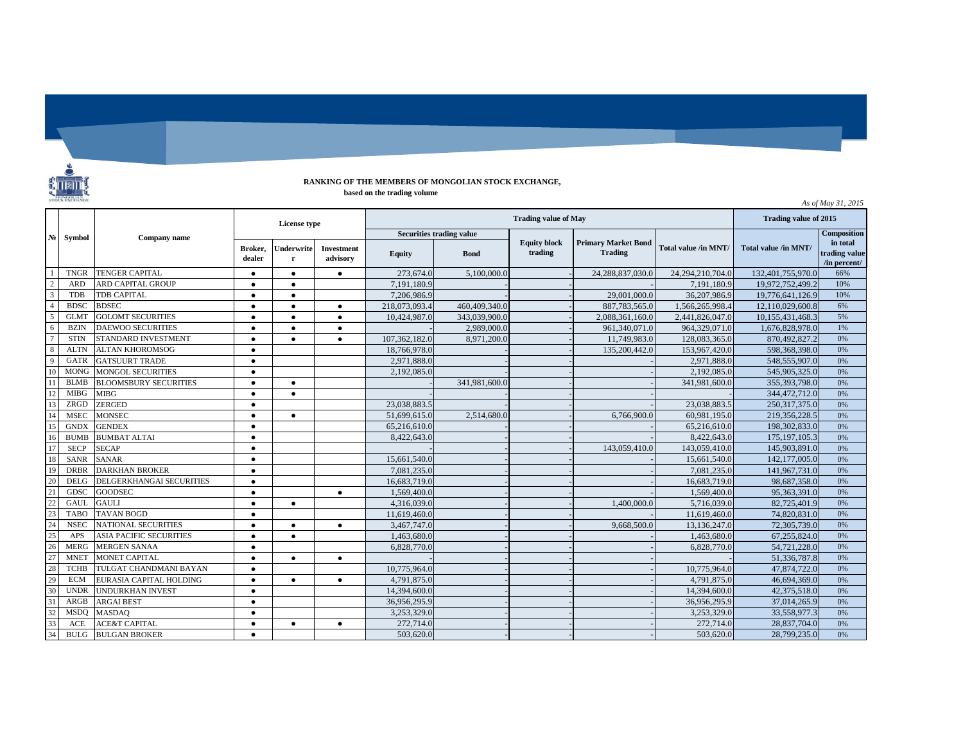

## **RANKING OF THE MEMBERS OF MONGOLIAN STOCK EXCHANGE, based on the trading volume**

**Broker, dealer Underwrite r Investment advisory Equity Bond** 1 | TNGR |TENGER CAPITAL ● | ● | ● | ● | 273,674.0 5,100,000.0 | - | 24,288,837,030.0 24,294,210,704.0 | 132,401,755,970.0 66% 2 ARD ARD CAPITAL GROUP ● ● ● 7,191,180.9 7,191,180.9 19,972,752,499.2 10% 3 TDB TDB CAPITAL ● ● 7,206,986.9 - - 29,001,000.0 36,207,986.9 19,776,641,126.9 10% 4 BDSC BDSEC ● ● ● ● ● 218,073,093.4 460,409,340.0 - 887,783,565.0 1,566,265,998.4 12,110,029,600.8 6% 5 GLMT |GOLOMT SECURITIES ● ● ● ● 10,424,987.0 343,039,900.0 - 2,088,361,160.0 2,441,826,047.0 10,155,431,468.3 5% 6 BZIN DAEWOO SECURITIES ● ● ● - 2,989,000.0 - 961,340,071.0 964,329,071.0 1,676,828,978.0 1% 7 STIN STANDARD INVESTMENT ● ● ● 107,362,182.0 8,971,200.0 - 11,749,983.0 128,083,365.0 870,492,827.2 0% 8 ALTN ALTAN KHOROMSOG ● 18,766,978.0 - - 135,200,442.0 153,967,420.0 598,368,398.0 0% 9 GATR GATSUURT TRADE ● 2,971,888.0 - - - 2,971,888.0 548,555,907.0 0% 10 MONG MONGOL SECURITIES ● 2,192,085.0 - - - 2,192,085.0 545,905,325.0 0% 11 BLMB BLOOMSBURY SECURITIES ● ● - 341,981,600.0 - - 341,981,600.0 355,393,798.0 0% 12 MIBG MIBG ● ● - - - - - 344,472,712.0 0% 13 ZRGD ZERGED ● 23,038,883.5 - - - 23,038,883.5 250,317,375.0 0% 14 MSEC MONSEC ● ● 51,699,615.0 2,514,680.0 - 6,766,900.0 60,981,195.0 219,356,228.5 0% 15 GNDX GENDEX ● 65,216,610.0 - - - 65,216,610.0 198,302,833.0 0% 16 BUMB BUMBAT ALTAI ● 8,422,643.0 - - - 8,422,643.0 175,197,105.3 0% 17 SECP SECAP ● - - - 143,059,410.0 143,059,410.0 145,903,891.0 0% 18 SANR SANAR ● 15,661,540.0 - - - 15,661,540.0 142,177,005.0 0% 19 DRBR DARKHAN BROKER ● 7,081,235.0 - - - 7,081,235.0 141,967,731.0 0% 20 DELG DELGERKHANGAI SECURITIES **•** 16,683,719.0 16,683,719.0 - 16,683,719.0 - 16,683,719.0 98,687,358.0 0% 21 GDSC GOODSEC ● ● 1,569,400.0 - - - 1,569,400.0 95,363,391.0 0% 22 GAUL GAULI ● ● 4,316,039.0 - - 1,400,000.0 5,716,039.0 82,725,401.9 0% 23 TABO TAVAN BOGD ● 11,619,460.0 - - - 11,619,460.0 74,820,831.0 0% 24 NSEC NATIONAL SECURITIES ● ● ● 3,467,747.0 - - 9,668,500.0 13,136,247.0 72,305,739.0 0% 25| APS |ASIA PACIFIC SECURITIES | ● | ● | | 1,463,680.0| --| -| 1,463,680.0| 67,255,824.0| 0% 26 MERG MERGEN SANAA ● 6,828,770.0 - - - 6,828,770.0 54,721,228.0 0% 27 MNET MONET CAPITAL ● ● ● - - - - - 51,336,787.8 0% 28 TCHB TULGAT CHANDMANI BAYAN ● | | 10,775,964.0 | - | 10,775,964.0 | 10,775,964.0 | 10,775,964.0 47,874,722.0 29 ECM EURASIA CAPITAL HOLDING | ● | ● | ● | 4,791,875.0 - - - - - - - - - 4,791,875.0 46,694,369.0 0% 30 UNDURKHAN INVEST │ ● │ 14,394,600.0 │ -│ -│ 14,394,600.0 42,375,518.0 0% 31 ARGB ARGAI BEST ● 36,956,295.9 - - - 36,956,295.9 37,014,265.9 0% 32 MSDQ MASDAQ ● 3,253,329.0 - - - 3,253,329.0 33,558,977.3 0% 33 ACE ACE&T CAPITAL | ● | ● | 272,714.0 | -- - - - - - - - - - 272,714.0 28,837,704.0 0% **Composition in total trading valu /in percent/ Trading value of May Trading value of 2015** *As of May 31, 2015* **Total value /in MNT/ Securities trading value Equity block trading № License type Company name Total value /in MNT/ Symbol Primary Market Bond Trading**

34 BULG BULGAN BROKER ● 503,620.0 - - - 503,620.0 28,799,235.0 0%